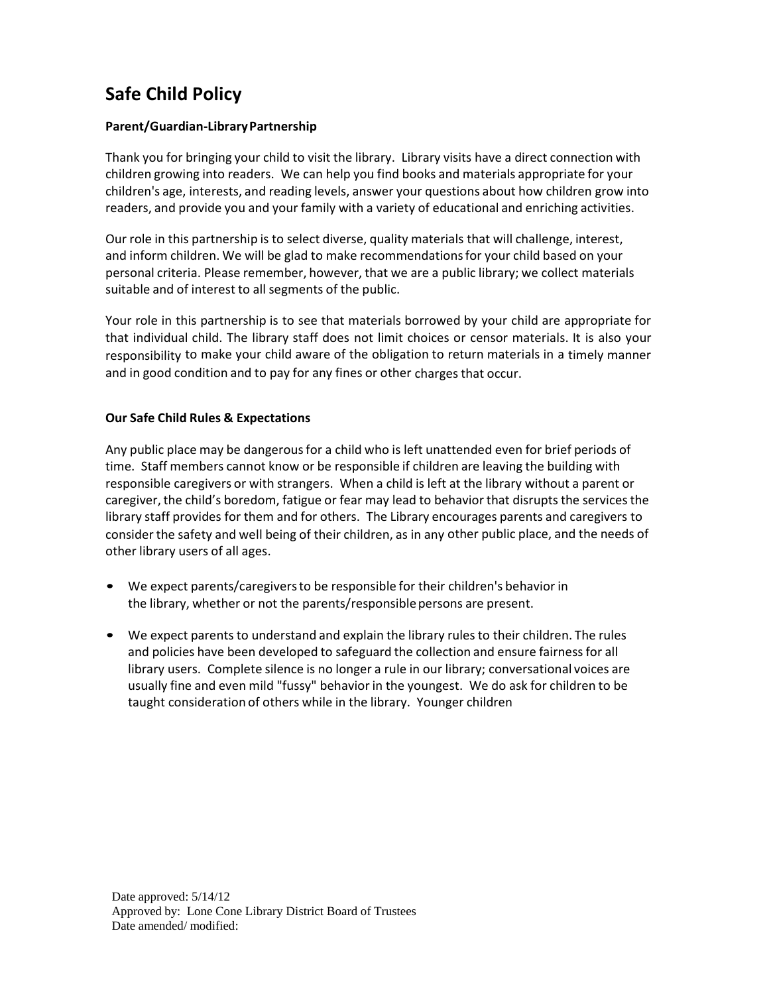## **Safe Child Policy**

## **Parent/Guardian-LibraryPartnership**

Thank you for bringing your child to visit the library. Library visits have a direct connection with children growing into readers. We can help you find books and materials appropriate for your children's age, interests, and reading levels, answer your questions about how children grow into readers, and provide you and your family with a variety of educational and enriching activities.

Our role in this partnership is to select diverse, quality materials that will challenge, interest, and inform children. We will be glad to make recommendationsfor your child based on your personal criteria. Please remember, however, that we are a public library; we collect materials suitable and of interest to all segments of the public.

Your role in this partnership is to see that materials borrowed by your child are appropriate for that individual child. The library staff does not limit choices or censor materials. It is also your responsibility to make your child aware of the obligation to return materials in a timely manner and in good condition and to pay for any fines or other charges that occur.

## **Our Safe Child Rules & Expectations**

Any public place may be dangerousfor a child who is left unattended even for brief periods of time. Staff members cannot know or be responsible if children are leaving the building with responsible caregivers or with strangers. When a child is left at the library without a parent or caregiver, the child's boredom, fatigue or fear may lead to behavior that disrupts the services the library staff provides for them and for others. The Library encourages parents and caregivers to consider the safety and well being of their children, as in any other public place, and the needs of other library users of all ages.

- We expect parents/caregiversto be responsible for their children's behavior in the library, whether or not the parents/responsible persons are present.
- We expect parents to understand and explain the library rules to their children. The rules and policies have been developed to safeguard the collection and ensure fairnessfor all library users. Complete silence is no longer a rule in our library; conversational voices are usually fine and even mild "fussy" behavior in the youngest. We do ask for children to be taught consideration of others while in the library. Younger children

Date approved: 5/14/12 Approved by: Lone Cone Library District Board of Trustees Date amended/ modified: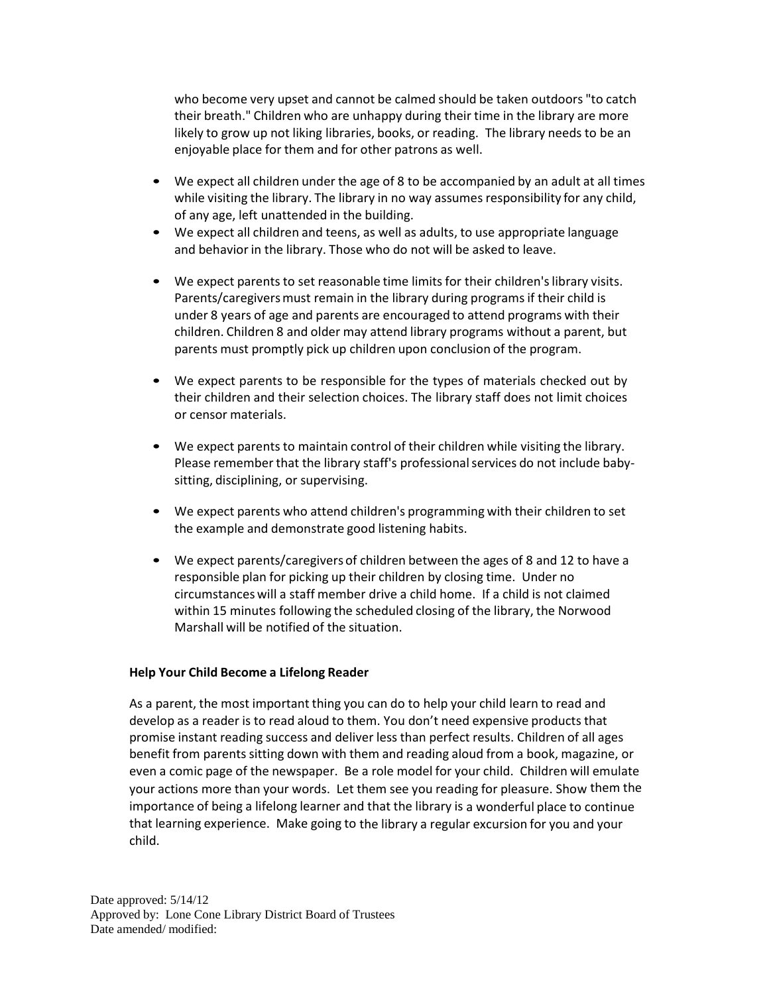who become very upset and cannot be calmed should be taken outdoors "to catch their breath." Children who are unhappy during their time in the library are more likely to grow up not liking libraries, books, or reading. The library needs to be an enjoyable place for them and for other patrons as well.

- We expect all children under the age of 8 to be accompanied by an adult at all times while visiting the library. The library in no way assumes responsibility for any child, of any age, left unattended in the building.
- We expect all children and teens, as well as adults, to use appropriate language and behavior in the library. Those who do not will be asked to leave.
- We expect parents to set reasonable time limits for their children'slibrary visits. Parents/caregivers must remain in the library during programs if their child is under 8 years of age and parents are encouraged to attend programs with their children. Children 8 and older may attend library programs without a parent, but parents must promptly pick up children upon conclusion of the program.
- We expect parents to be responsible for the types of materials checked out by their children and their selection choices. The library staff does not limit choices or censor materials.
- We expect parents to maintain control of their children while visiting the library. Please remember that the library staff's professional services do not include babysitting, disciplining, or supervising.
- We expect parents who attend children's programming with their children to set the example and demonstrate good listening habits.
- We expect parents/caregiversof children between the ages of 8 and 12 to have a responsible plan for picking up their children by closing time. Under no circumstances will a staff member drive a child home. If a child is not claimed within 15 minutes following the scheduled closing of the library, the Norwood Marshall will be notified of the situation.

## **Help Your Child Become a Lifelong Reader**

As a parent, the most important thing you can do to help your child learn to read and develop as a reader is to read aloud to them. You don't need expensive products that promise instant reading success and deliver less than perfect results. Children of all ages benefit from parents sitting down with them and reading aloud from a book, magazine, or even a comic page of the newspaper. Be a role model for your child. Children will emulate your actions more than your words. Let them see you reading for pleasure. Show them the importance of being a lifelong learner and that the library is a wonderful place to continue that learning experience. Make going to the library a regular excursion for you and your child.